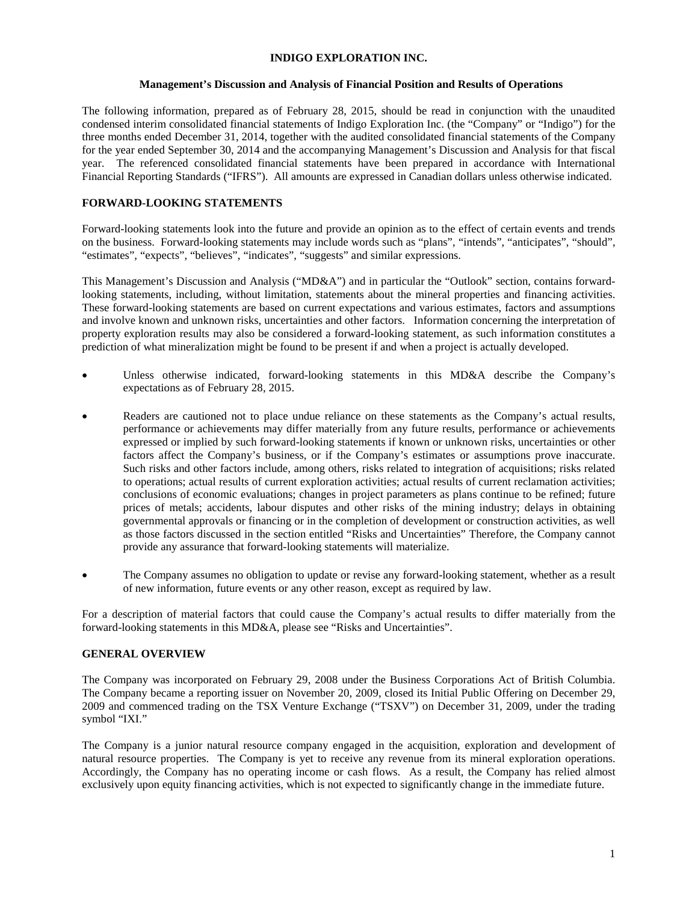### **INDIGO EXPLORATION INC.**

## **Management's Discussion and Analysis of Financial Position and Results of Operations**

The following information, prepared as of February 28, 2015, should be read in conjunction with the unaudited condensed interim consolidated financial statements of Indigo Exploration Inc. (the "Company" or "Indigo") for the three months ended December 31, 2014, together with the audited consolidated financial statements of the Company for the year ended September 30, 2014 and the accompanying Management's Discussion and Analysis for that fiscal year. The referenced consolidated financial statements have been prepared in accordance with International Financial Reporting Standards ("IFRS"). All amounts are expressed in Canadian dollars unless otherwise indicated.

# **FORWARD-LOOKING STATEMENTS**

Forward-looking statements look into the future and provide an opinion as to the effect of certain events and trends on the business. Forward-looking statements may include words such as "plans", "intends", "anticipates", "should", "estimates", "expects", "believes", "indicates", "suggests" and similar expressions.

This Management's Discussion and Analysis ("MD&A") and in particular the "Outlook" section, contains forwardlooking statements, including, without limitation, statements about the mineral properties and financing activities. These forward-looking statements are based on current expectations and various estimates, factors and assumptions and involve known and unknown risks, uncertainties and other factors. Information concerning the interpretation of property exploration results may also be considered a forward-looking statement, as such information constitutes a prediction of what mineralization might be found to be present if and when a project is actually developed.

- Unless otherwise indicated, forward-looking statements in this MD&A describe the Company's expectations as of February 28, 2015.
- Readers are cautioned not to place undue reliance on these statements as the Company's actual results, performance or achievements may differ materially from any future results, performance or achievements expressed or implied by such forward-looking statements if known or unknown risks, uncertainties or other factors affect the Company's business, or if the Company's estimates or assumptions prove inaccurate. Such risks and other factors include, among others, risks related to integration of acquisitions; risks related to operations; actual results of current exploration activities; actual results of current reclamation activities; conclusions of economic evaluations; changes in project parameters as plans continue to be refined; future prices of metals; accidents, labour disputes and other risks of the mining industry; delays in obtaining governmental approvals or financing or in the completion of development or construction activities, as well as those factors discussed in the section entitled "Risks and Uncertainties" Therefore, the Company cannot provide any assurance that forward-looking statements will materialize.
- The Company assumes no obligation to update or revise any forward-looking statement, whether as a result of new information, future events or any other reason, except as required by law.

For a description of material factors that could cause the Company's actual results to differ materially from the forward-looking statements in this MD&A, please see "Risks and Uncertainties".

# **GENERAL OVERVIEW**

The Company was incorporated on February 29, 2008 under the Business Corporations Act of British Columbia. The Company became a reporting issuer on November 20, 2009, closed its Initial Public Offering on December 29, 2009 and commenced trading on the TSX Venture Exchange ("TSXV") on December 31, 2009, under the trading symbol "IXI."

The Company is a junior natural resource company engaged in the acquisition, exploration and development of natural resource properties. The Company is yet to receive any revenue from its mineral exploration operations. Accordingly, the Company has no operating income or cash flows. As a result, the Company has relied almost exclusively upon equity financing activities, which is not expected to significantly change in the immediate future.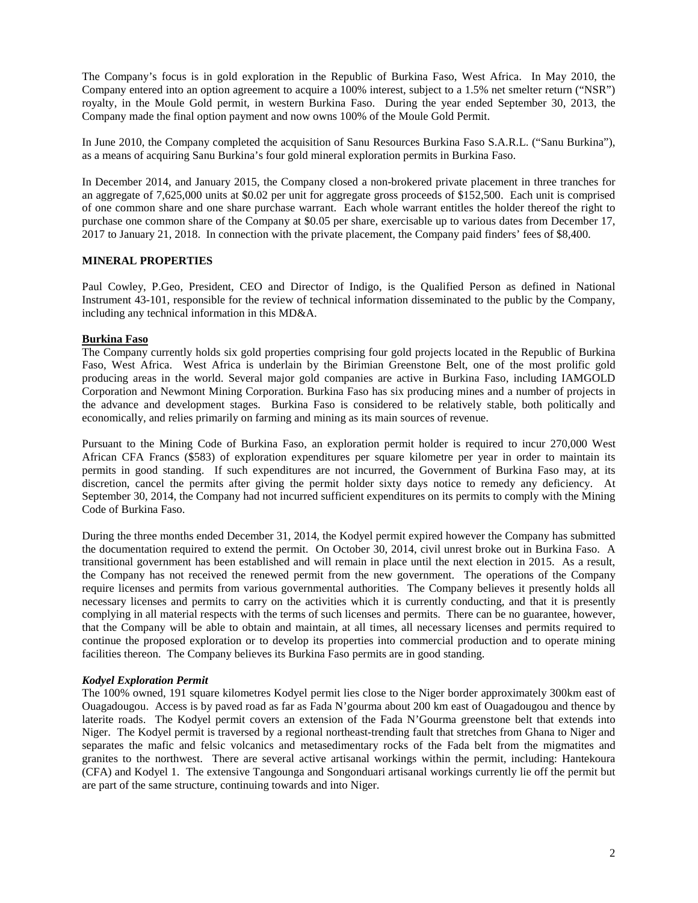The Company's focus is in gold exploration in the Republic of Burkina Faso, West Africa. In May 2010, the Company entered into an option agreement to acquire a 100% interest, subject to a 1.5% net smelter return ("NSR") royalty, in the Moule Gold permit, in western Burkina Faso. During the year ended September 30, 2013, the Company made the final option payment and now owns 100% of the Moule Gold Permit.

In June 2010, the Company completed the acquisition of Sanu Resources Burkina Faso S.A.R.L. ("Sanu Burkina"), as a means of acquiring Sanu Burkina's four gold mineral exploration permits in Burkina Faso.

In December 2014, and January 2015, the Company closed a non-brokered private placement in three tranches for an aggregate of 7,625,000 units at \$0.02 per unit for aggregate gross proceeds of \$152,500. Each unit is comprised of one common share and one share purchase warrant. Each whole warrant entitles the holder thereof the right to purchase one common share of the Company at \$0.05 per share, exercisable up to various dates from December 17, 2017 to January 21, 2018. In connection with the private placement, the Company paid finders' fees of \$8,400.

## **MINERAL PROPERTIES**

Paul Cowley, P.Geo, President, CEO and Director of Indigo, is the Qualified Person as defined in National Instrument 43-101, responsible for the review of technical information disseminated to the public by the Company, including any technical information in this MD&A.

## **Burkina Faso**

The Company currently holds six gold properties comprising four gold projects located in the Republic of Burkina Faso, West Africa. West Africa is underlain by the Birimian Greenstone Belt, one of the most prolific gold producing areas in the world. Several major gold companies are active in Burkina Faso, including IAMGOLD Corporation and Newmont Mining Corporation. Burkina Faso has six producing mines and a number of projects in the advance and development stages. Burkina Faso is considered to be relatively stable, both politically and economically, and relies primarily on farming and mining as its main sources of revenue.

Pursuant to the Mining Code of Burkina Faso, an exploration permit holder is required to incur 270,000 West African CFA Francs (\$583) of exploration expenditures per square kilometre per year in order to maintain its permits in good standing. If such expenditures are not incurred, the Government of Burkina Faso may, at its discretion, cancel the permits after giving the permit holder sixty days notice to remedy any deficiency. At September 30, 2014, the Company had not incurred sufficient expenditures on its permits to comply with the Mining Code of Burkina Faso.

During the three months ended December 31, 2014, the Kodyel permit expired however the Company has submitted the documentation required to extend the permit. On October 30, 2014, civil unrest broke out in Burkina Faso. A transitional government has been established and will remain in place until the next election in 2015. As a result, the Company has not received the renewed permit from the new government. The operations of the Company require licenses and permits from various governmental authorities. The Company believes it presently holds all necessary licenses and permits to carry on the activities which it is currently conducting, and that it is presently complying in all material respects with the terms of such licenses and permits. There can be no guarantee, however, that the Company will be able to obtain and maintain, at all times, all necessary licenses and permits required to continue the proposed exploration or to develop its properties into commercial production and to operate mining facilities thereon. The Company believes its Burkina Faso permits are in good standing.

#### *Kodyel Exploration Permit*

The 100% owned, 191 square kilometres Kodyel permit lies close to the Niger border approximately 300km east of Ouagadougou. Access is by paved road as far as Fada N'gourma about 200 km east of Ouagadougou and thence by laterite roads. The Kodyel permit covers an extension of the Fada N'Gourma greenstone belt that extends into Niger. The Kodyel permit is traversed by a regional northeast-trending fault that stretches from Ghana to Niger and separates the mafic and felsic volcanics and metasedimentary rocks of the Fada belt from the migmatites and granites to the northwest. There are several active artisanal workings within the permit, including: Hantekoura (CFA) and Kodyel 1. The extensive Tangounga and Songonduari artisanal workings currently lie off the permit but are part of the same structure, continuing towards and into Niger.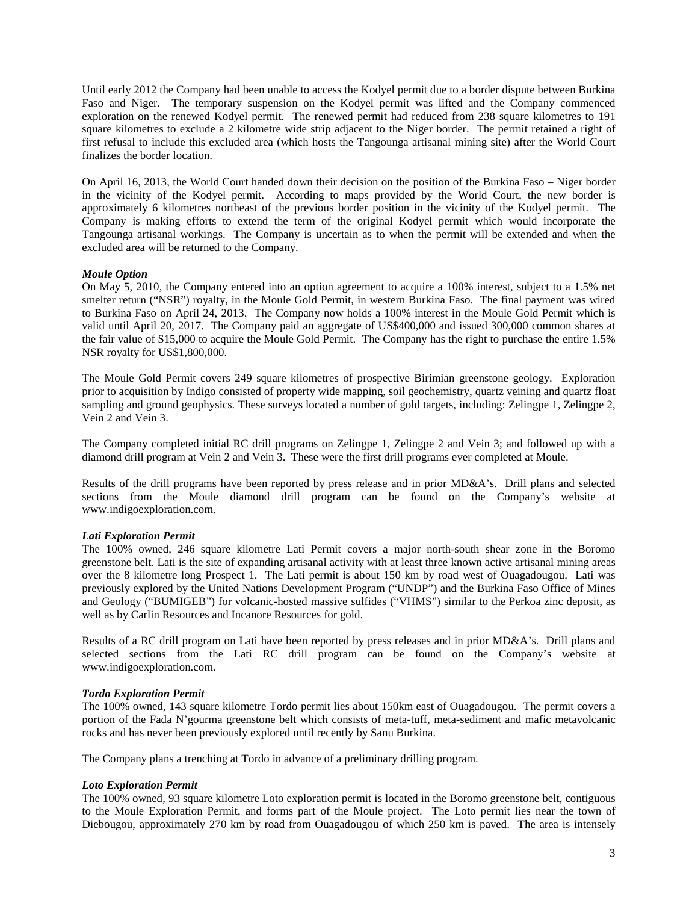Until early 2012 the Company had been unable to access the Kodyel permit due to a border dispute between Burkina Faso and Niger. The temporary suspension on the Kodyel permit was lifted and the Company commenced exploration on the renewed Kodyel permit. The renewed permit had reduced from 238 square kilometres to 191 square kilometres to exclude a 2 kilometre wide strip adjacent to the Niger border. The permit retained a right of first refusal to include this excluded area (which hosts the Tangounga artisanal mining site) after the World Court finalizes the border location.

On April 16, 2013, the World Court handed down their decision on the position of the Burkina Faso – Niger border in the vicinity of the Kodyel permit. According to maps provided by the World Court, the new border is approximately 6 kilometres northeast of the previous border position in the vicinity of the Kodyel permit. The Company is making efforts to extend the term of the original Kodyel permit which would incorporate the Tangounga artisanal workings. The Company is uncertain as to when the permit will be extended and when the excluded area will be returned to the Company.

#### *Moule Option*

On May 5, 2010, the Company entered into an option agreement to acquire a 100% interest, subject to a 1.5% net smelter return ("NSR") royalty, in the Moule Gold Permit, in western Burkina Faso. The final payment was wired to Burkina Faso on April 24, 2013. The Company now holds a 100% interest in the Moule Gold Permit which is valid until April 20, 2017. The Company paid an aggregate of US\$400,000 and issued 300,000 common shares at the fair value of \$15,000 to acquire the Moule Gold Permit. The Company has the right to purchase the entire 1.5% NSR royalty for US\$1,800,000.

The Moule Gold Permit covers 249 square kilometres of prospective Birimian greenstone geology. Exploration prior to acquisition by Indigo consisted of property wide mapping, soil geochemistry, quartz veining and quartz float sampling and ground geophysics. These surveys located a number of gold targets, including: Zelingpe 1, Zelingpe 2, Vein 2 and Vein 3.

The Company completed initial RC drill programs on Zelingpe 1, Zelingpe 2 and Vein 3; and followed up with a diamond drill program at Vein 2 and Vein 3. These were the first drill programs ever completed at Moule.

Results of the drill programs have been reported by press release and in prior MD&A's. Drill plans and selected sections from the Moule diamond drill program can be found on the Company's website at [www.indigoexploration.com.](http://www.indigoexploration.com/)

# *Lati Exploration Permit*

The 100% owned, 246 square kilometre Lati Permit covers a major north-south shear zone in the Boromo greenstone belt. Lati is the site of expanding artisanal activity with at least three known active artisanal mining areas over the 8 kilometre long Prospect 1. The Lati permit is about 150 km by road west of Ouagadougou. Lati was previously explored by the United Nations Development Program ("UNDP") and the Burkina Faso Office of Mines and Geology ("BUMIGEB") for volcanic-hosted massive sulfides ("VHMS") similar to the Perkoa zinc deposit, as well as by Carlin Resources and Incanore Resources for gold.

Results of a RC drill program on Lati have been reported by press releases and in prior MD&A's. Drill plans and selected sections from the Lati RC drill program can be found on the Company's website at [www.indigoexploration.com.](http://www.indigoexploration.com/)

# *Tordo Exploration Permit*

The 100% owned, 143 square kilometre Tordo permit lies about 150km east of Ouagadougou. The permit covers a portion of the Fada N'gourma greenstone belt which consists of meta-tuff, meta-sediment and mafic metavolcanic rocks and has never been previously explored until recently by Sanu Burkina.

The Company plans a trenching at Tordo in advance of a preliminary drilling program.

#### *Loto Exploration Permit*

The 100% owned, 93 square kilometre Loto exploration permit is located in the Boromo greenstone belt, contiguous to the Moule Exploration Permit, and forms part of the Moule project. The Loto permit lies near the town of Diebougou, approximately 270 km by road from Ouagadougou of which 250 km is paved. The area is intensely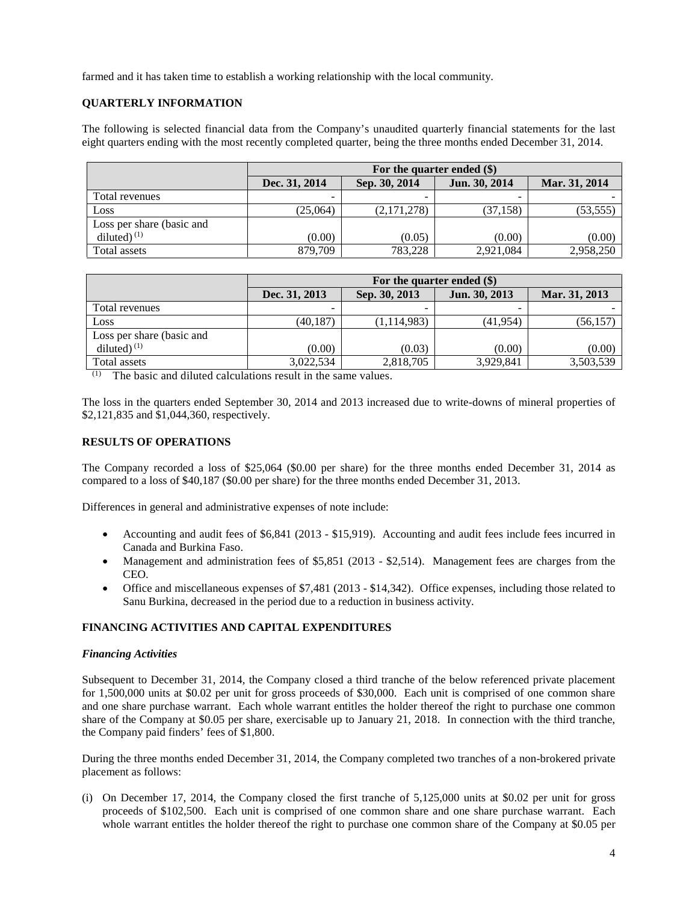farmed and it has taken time to establish a working relationship with the local community.

# **QUARTERLY INFORMATION**

The following is selected financial data from the Company's unaudited quarterly financial statements for the last eight quarters ending with the most recently completed quarter, being the three months ended December 31, 2014.

|                           | For the quarter ended (\$) |               |               |               |
|---------------------------|----------------------------|---------------|---------------|---------------|
|                           | Dec. 31, 2014              | Sep. 30, 2014 | Jun. 30, 2014 | Mar. 31, 2014 |
| Total revenues            | -                          |               | ٠             |               |
| Loss                      | (25,064)                   | (2,171,278)   | (37, 158)     | (53, 555)     |
| Loss per share (basic and |                            |               |               |               |
| diluted $(1)$             | (0.00)                     | (0.05)        | (0.00)        | (0.00)        |
| Total assets              | 879,709                    | 783,228       | 2,921,084     | 2,958,250     |

|                           | For the quarter ended $(\$)$ |               |               |               |
|---------------------------|------------------------------|---------------|---------------|---------------|
|                           | Dec. 31, 2013                | Sep. 30, 2013 | Jun. 30, 2013 | Mar. 31, 2013 |
| Total revenues            | $\overline{\phantom{0}}$     |               |               |               |
| Loss                      | (40, 187)                    | (1, 114, 983) | (41, 954)     | (56,157       |
| Loss per share (basic and |                              |               |               |               |
| diluted $(1)$             | (0.00)                       | (0.03)        | (0.00)        | (0.00)        |
| Total assets              | 3,022,534                    | 2,818,705     | 3,929,841     | 3,503,539     |

(1) The basic and diluted calculations result in the same values.

The loss in the quarters ended September 30, 2014 and 2013 increased due to write-downs of mineral properties of \$2,121,835 and \$1,044,360, respectively.

# **RESULTS OF OPERATIONS**

The Company recorded a loss of \$25,064 (\$0.00 per share) for the three months ended December 31, 2014 as compared to a loss of \$40,187 (\$0.00 per share) for the three months ended December 31, 2013.

Differences in general and administrative expenses of note include:

- Accounting and audit fees of \$6,841 (2013 \$15,919). Accounting and audit fees include fees incurred in Canada and Burkina Faso.
- Management and administration fees of \$5,851 (2013 \$2,514). Management fees are charges from the CEO.
- Office and miscellaneous expenses of \$7,481 (2013 \$14,342). Office expenses, including those related to Sanu Burkina, decreased in the period due to a reduction in business activity.

# **FINANCING ACTIVITIES AND CAPITAL EXPENDITURES**

#### *Financing Activities*

Subsequent to December 31, 2014, the Company closed a third tranche of the below referenced private placement for 1,500,000 units at \$0.02 per unit for gross proceeds of \$30,000. Each unit is comprised of one common share and one share purchase warrant. Each whole warrant entitles the holder thereof the right to purchase one common share of the Company at \$0.05 per share, exercisable up to January 21, 2018. In connection with the third tranche, the Company paid finders' fees of \$1,800.

During the three months ended December 31, 2014, the Company completed two tranches of a non-brokered private placement as follows:

(i) On December 17, 2014, the Company closed the first tranche of 5,125,000 units at \$0.02 per unit for gross proceeds of \$102,500. Each unit is comprised of one common share and one share purchase warrant. Each whole warrant entitles the holder thereof the right to purchase one common share of the Company at \$0.05 per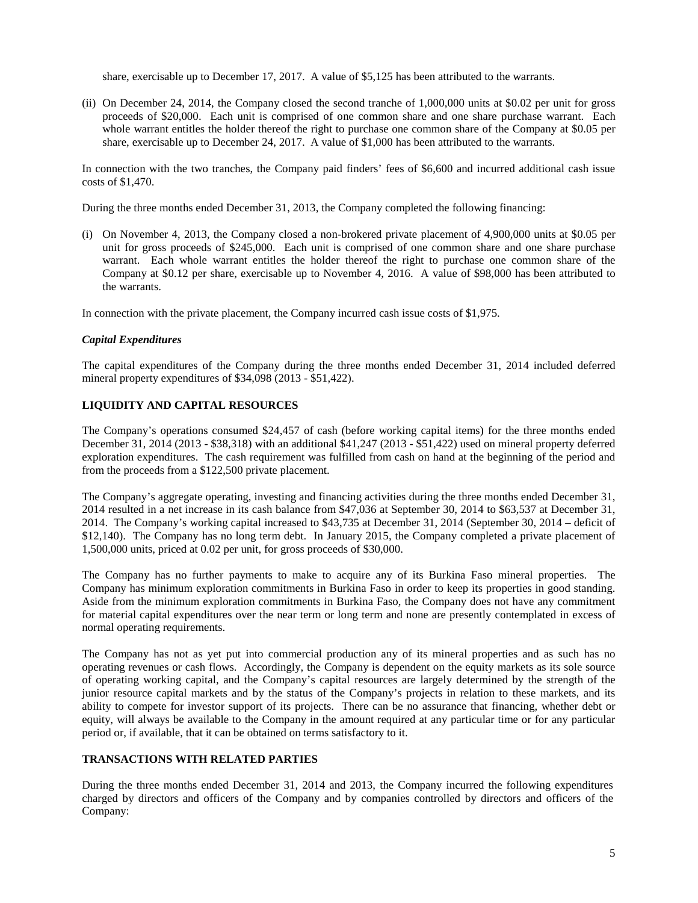share, exercisable up to December 17, 2017. A value of \$5,125 has been attributed to the warrants.

(ii) On December 24, 2014, the Company closed the second tranche of 1,000,000 units at \$0.02 per unit for gross proceeds of \$20,000. Each unit is comprised of one common share and one share purchase warrant. Each whole warrant entitles the holder thereof the right to purchase one common share of the Company at \$0.05 per share, exercisable up to December 24, 2017. A value of \$1,000 has been attributed to the warrants.

In connection with the two tranches, the Company paid finders' fees of \$6,600 and incurred additional cash issue costs of \$1,470.

During the three months ended December 31, 2013, the Company completed the following financing:

(i) On November 4, 2013, the Company closed a non-brokered private placement of 4,900,000 units at \$0.05 per unit for gross proceeds of \$245,000. Each unit is comprised of one common share and one share purchase warrant. Each whole warrant entitles the holder thereof the right to purchase one common share of the Company at \$0.12 per share, exercisable up to November 4, 2016. A value of \$98,000 has been attributed to the warrants.

In connection with the private placement, the Company incurred cash issue costs of \$1,975.

## *Capital Expenditures*

The capital expenditures of the Company during the three months ended December 31, 2014 included deferred mineral property expenditures of \$34,098 (2013 - \$51,422).

# **LIQUIDITY AND CAPITAL RESOURCES**

The Company's operations consumed \$24,457 of cash (before working capital items) for the three months ended December 31, 2014 (2013 - \$38,318) with an additional \$41,247 (2013 - \$51,422) used on mineral property deferred exploration expenditures. The cash requirement was fulfilled from cash on hand at the beginning of the period and from the proceeds from a \$122,500 private placement.

The Company's aggregate operating, investing and financing activities during the three months ended December 31, 2014 resulted in a net increase in its cash balance from \$47,036 at September 30, 2014 to \$63,537 at December 31, 2014. The Company's working capital increased to \$43,735 at December 31, 2014 (September 30, 2014 – deficit of \$12,140). The Company has no long term debt. In January 2015, the Company completed a private placement of 1,500,000 units, priced at 0.02 per unit, for gross proceeds of \$30,000.

The Company has no further payments to make to acquire any of its Burkina Faso mineral properties. The Company has minimum exploration commitments in Burkina Faso in order to keep its properties in good standing. Aside from the minimum exploration commitments in Burkina Faso, the Company does not have any commitment for material capital expenditures over the near term or long term and none are presently contemplated in excess of normal operating requirements.

The Company has not as yet put into commercial production any of its mineral properties and as such has no operating revenues or cash flows. Accordingly, the Company is dependent on the equity markets as its sole source of operating working capital, and the Company's capital resources are largely determined by the strength of the junior resource capital markets and by the status of the Company's projects in relation to these markets, and its ability to compete for investor support of its projects. There can be no assurance that financing, whether debt or equity, will always be available to the Company in the amount required at any particular time or for any particular period or, if available, that it can be obtained on terms satisfactory to it.

### **TRANSACTIONS WITH RELATED PARTIES**

During the three months ended December 31, 2014 and 2013, the Company incurred the following expenditures charged by directors and officers of the Company and by companies controlled by directors and officers of the Company: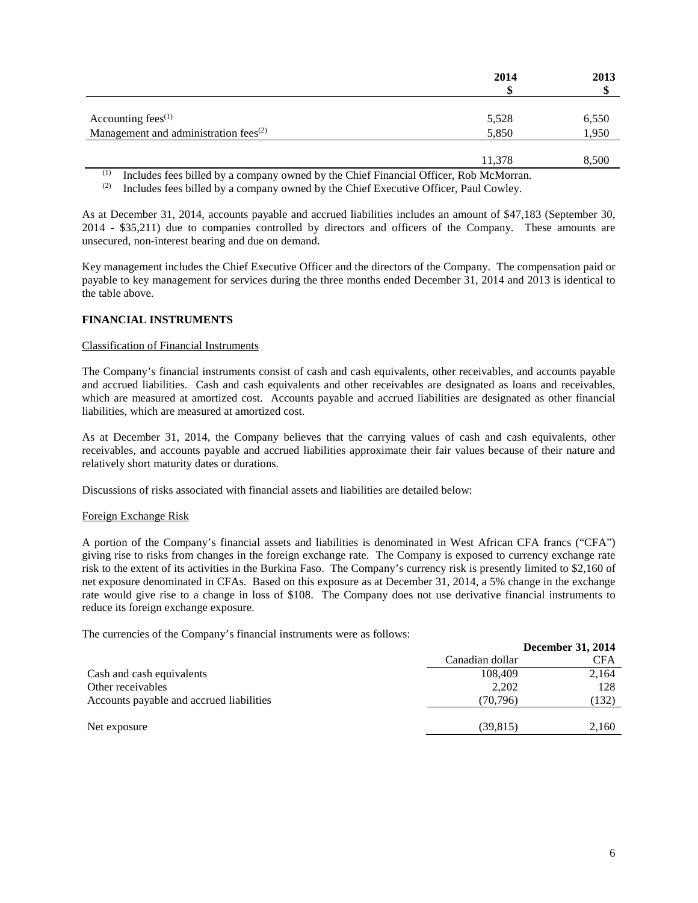|                                                   | 2014   | 2013<br>۰D |
|---------------------------------------------------|--------|------------|
|                                                   |        |            |
| Accounting fees $(1)$                             | 5,528  | 6,550      |
| Management and administration fees <sup>(2)</sup> | 5,850  | 1,950      |
|                                                   |        |            |
|                                                   | 11,378 | 8,500      |

(1) Includes fees billed by a company owned by the Chief Financial Officer, Rob McMorran.<br>(2) Includes fees billed by a company owned by the Chief Executive Officer. Paul Cowley.

Includes fees billed by a company owned by the Chief Executive Officer, Paul Cowley.

As at December 31, 2014, accounts payable and accrued liabilities includes an amount of \$47,183 (September 30, 2014 - \$35,211) due to companies controlled by directors and officers of the Company. These amounts are unsecured, non-interest bearing and due on demand.

Key management includes the Chief Executive Officer and the directors of the Company. The compensation paid or payable to key management for services during the three months ended December 31, 2014 and 2013 is identical to the table above.

## **FINANCIAL INSTRUMENTS**

### Classification of Financial Instruments

The Company's financial instruments consist of cash and cash equivalents, other receivables, and accounts payable and accrued liabilities. Cash and cash equivalents and other receivables are designated as loans and receivables, which are measured at amortized cost. Accounts payable and accrued liabilities are designated as other financial liabilities, which are measured at amortized cost.

As at December 31, 2014, the Company believes that the carrying values of cash and cash equivalents, other receivables, and accounts payable and accrued liabilities approximate their fair values because of their nature and relatively short maturity dates or durations.

Discussions of risks associated with financial assets and liabilities are detailed below:

#### Foreign Exchange Risk

A portion of the Company's financial assets and liabilities is denominated in West African CFA francs ("CFA") giving rise to risks from changes in the foreign exchange rate. The Company is exposed to currency exchange rate risk to the extent of its activities in the Burkina Faso. The Company's currency risk is presently limited to \$2,160 of net exposure denominated in CFAs. Based on this exposure as at December 31, 2014, a 5% change in the exchange rate would give rise to a change in loss of \$108. The Company does not use derivative financial instruments to reduce its foreign exchange exposure.

The currencies of the Company's financial instruments were as follows:

|                                          |                 | <b>December 31, 2014</b> |
|------------------------------------------|-----------------|--------------------------|
|                                          | Canadian dollar | <b>CFA</b>               |
| Cash and cash equivalents                | 108,409         | 2,164                    |
| Other receivables                        | 2,202           | 128                      |
| Accounts payable and accrued liabilities | (70, 796)       | (132)                    |
|                                          |                 |                          |
| Net exposure                             | (39, 815)       | 2.160                    |
|                                          |                 |                          |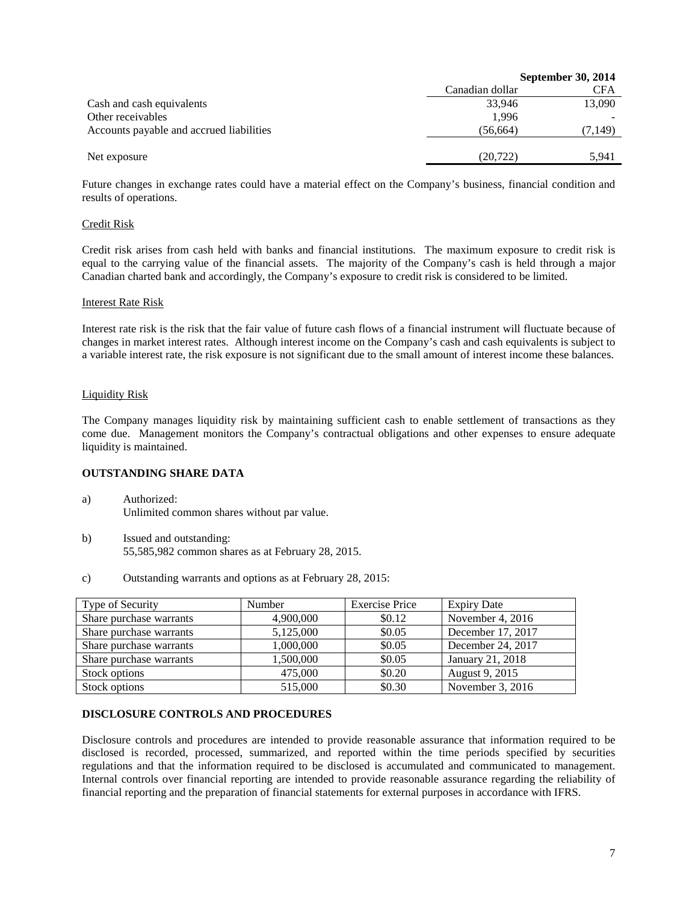| <b>September 30, 2014</b> |            |
|---------------------------|------------|
| Canadian dollar           | <b>CFA</b> |
| 33.946                    | 13,090     |
| 1.996                     |            |
| (56, 664)                 | (7,149)    |
|                           |            |
| (20, 722)                 | 5.941      |
|                           |            |

Future changes in exchange rates could have a material effect on the Company's business, financial condition and results of operations.

### Credit Risk

Credit risk arises from cash held with banks and financial institutions. The maximum exposure to credit risk is equal to the carrying value of the financial assets. The majority of the Company's cash is held through a major Canadian charted bank and accordingly, the Company's exposure to credit risk is considered to be limited.

#### Interest Rate Risk

Interest rate risk is the risk that the fair value of future cash flows of a financial instrument will fluctuate because of changes in market interest rates. Although interest income on the Company's cash and cash equivalents is subject to a variable interest rate, the risk exposure is not significant due to the small amount of interest income these balances.

### Liquidity Risk

The Company manages liquidity risk by maintaining sufficient cash to enable settlement of transactions as they come due. Management monitors the Company's contractual obligations and other expenses to ensure adequate liquidity is maintained.

# **OUTSTANDING SHARE DATA**

- a) Authorized: Unlimited common shares without par value.
- b) Issued and outstanding: 55,585,982 common shares as at February 28, 2015.
- c) Outstanding warrants and options as at February 28, 2015:

| Type of Security        | Number    | <b>Exercise Price</b> | <b>Expiry Date</b> |
|-------------------------|-----------|-----------------------|--------------------|
| Share purchase warrants | 4,900,000 | \$0.12                | November 4, $2016$ |
| Share purchase warrants | 5,125,000 | \$0.05                | December 17, 2017  |
| Share purchase warrants | 1,000,000 | \$0.05                | December 24, 2017  |
| Share purchase warrants | 1,500,000 | \$0.05                | January 21, 2018   |
| Stock options           | 475,000   | \$0.20                | August 9, 2015     |
| Stock options           | 515,000   | \$0.30                | November $3, 2016$ |

## **DISCLOSURE CONTROLS AND PROCEDURES**

Disclosure controls and procedures are intended to provide reasonable assurance that information required to be disclosed is recorded, processed, summarized, and reported within the time periods specified by securities regulations and that the information required to be disclosed is accumulated and communicated to management. Internal controls over financial reporting are intended to provide reasonable assurance regarding the reliability of financial reporting and the preparation of financial statements for external purposes in accordance with IFRS.